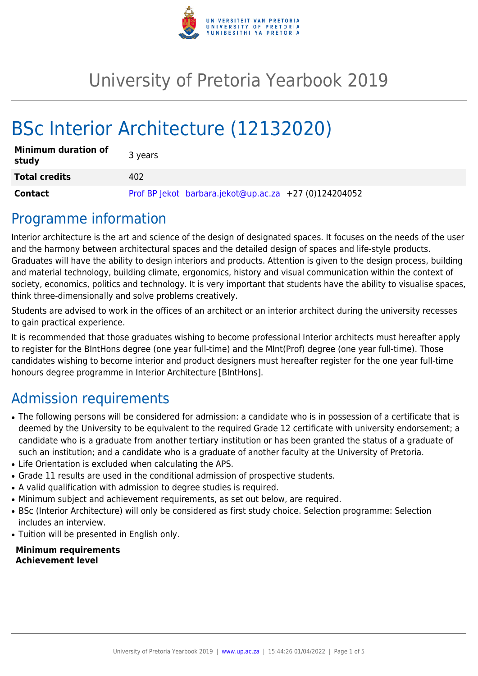

# University of Pretoria Yearbook 2019

# BSc Interior Architecture (12132020)

| <b>Minimum duration of</b><br>study | 3 years                                               |
|-------------------------------------|-------------------------------------------------------|
| <b>Total credits</b>                | 402                                                   |
| <b>Contact</b>                      | Prof BP Jekot barbara.jekot@up.ac.za +27 (0)124204052 |

# Programme information

Interior architecture is the art and science of the design of designated spaces. It focuses on the needs of the user and the harmony between architectural spaces and the detailed design of spaces and life-style products. Graduates will have the ability to design interiors and products. Attention is given to the design process, building and material technology, building climate, ergonomics, history and visual communication within the context of society, economics, politics and technology. It is very important that students have the ability to visualise spaces, think three-dimensionally and solve problems creatively.

Students are advised to work in the offices of an architect or an interior architect during the university recesses to gain practical experience.

It is recommended that those graduates wishing to become professional Interior architects must hereafter apply to register for the BIntHons degree (one year full-time) and the MInt(Prof) degree (one year full-time). Those candidates wishing to become interior and product designers must hereafter register for the one year full-time honours degree programme in Interior Architecture [BIntHons].

# Admission requirements

- The following persons will be considered for admission: a candidate who is in possession of a certificate that is deemed by the University to be equivalent to the required Grade 12 certificate with university endorsement; a candidate who is a graduate from another tertiary institution or has been granted the status of a graduate of such an institution; and a candidate who is a graduate of another faculty at the University of Pretoria.
- Life Orientation is excluded when calculating the APS.
- Grade 11 results are used in the conditional admission of prospective students.
- A valid qualification with admission to degree studies is required.
- Minimum subject and achievement requirements, as set out below, are required.
- BSc (Interior Architecture) will only be considered as first study choice. Selection programme: Selection includes an interview.
- Tuition will be presented in English only.

#### **Minimum requirements Achievement level**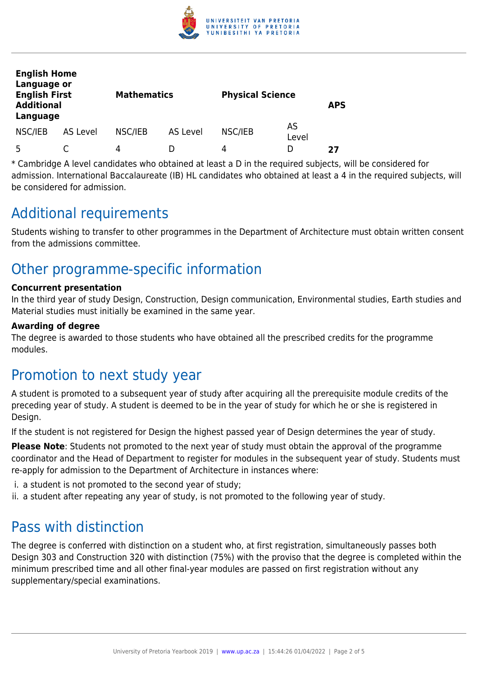

| <b>English Home</b><br>Language or<br><b>English First</b><br><b>Additional</b><br>Language |          |         | <b>Mathematics</b> |         | <b>Physical Science</b> |    |
|---------------------------------------------------------------------------------------------|----------|---------|--------------------|---------|-------------------------|----|
| NSC/IEB                                                                                     | AS Level | NSC/IEB | <b>AS Level</b>    | NSC/IEB | AS<br>Level             |    |
| Б.                                                                                          |          | 4       |                    | 4       | I)                      | 27 |

\* Cambridge A level candidates who obtained at least a D in the required subjects, will be considered for admission. International Baccalaureate (IB) HL candidates who obtained at least a 4 in the required subjects, will be considered for admission.

## Additional requirements

Students wishing to transfer to other programmes in the Department of Architecture must obtain written consent from the admissions committee.

# Other programme-specific information

#### **Concurrent presentation**

In the third year of study Design, Construction, Design communication, Environmental studies, Earth studies and Material studies must initially be examined in the same year.

#### **Awarding of degree**

The degree is awarded to those students who have obtained all the prescribed credits for the programme modules.

### Promotion to next study year

A student is promoted to a subsequent year of study after acquiring all the prerequisite module credits of the preceding year of study. A student is deemed to be in the year of study for which he or she is registered in Design.

If the student is not registered for Design the highest passed year of Design determines the year of study.

**Please Note**: Students not promoted to the next year of study must obtain the approval of the programme coordinator and the Head of Department to register for modules in the subsequent year of study. Students must re-apply for admission to the Department of Architecture in instances where:

- i. a student is not promoted to the second year of study;
- ii. a student after repeating any year of study, is not promoted to the following year of study.

### Pass with distinction

The degree is conferred with distinction on a student who, at first registration, simultaneously passes both Design 303 and Construction 320 with distinction (75%) with the proviso that the degree is completed within the minimum prescribed time and all other final-year modules are passed on first registration without any supplementary/special examinations.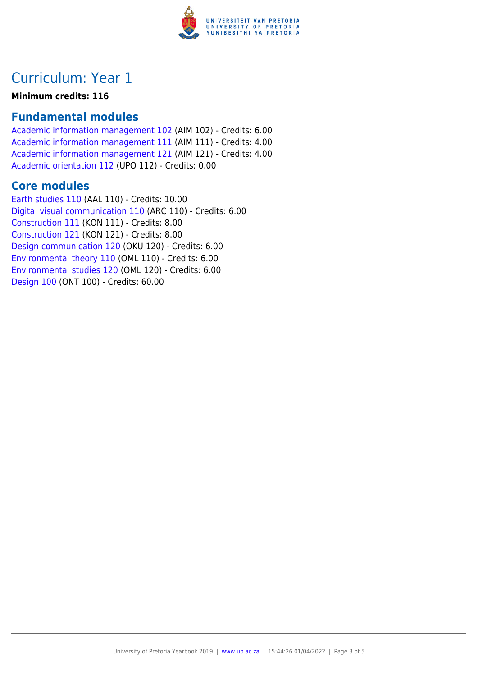

## Curriculum: Year 1

#### **Minimum credits: 116**

### **Fundamental modules**

[Academic information management 102](https://www.up.ac.za/yearbooks/2019/modules/view/AIM 102) (AIM 102) - Credits: 6.00 [Academic information management 111](https://www.up.ac.za/yearbooks/2019/modules/view/AIM 111) (AIM 111) - Credits: 4.00 [Academic information management 121](https://www.up.ac.za/yearbooks/2019/modules/view/AIM 121) (AIM 121) - Credits: 4.00 [Academic orientation 112](https://www.up.ac.za/yearbooks/2019/modules/view/UPO 112) (UPO 112) - Credits: 0.00

#### **Core modules**

[Earth studies 110](https://www.up.ac.za/yearbooks/2019/modules/view/AAL 110) (AAL 110) - Credits: 10.00 [Digital visual communication 110](https://www.up.ac.za/yearbooks/2019/modules/view/ARC 110) (ARC 110) - Credits: 6.00 [Construction 111](https://www.up.ac.za/yearbooks/2019/modules/view/KON 111) (KON 111) - Credits: 8.00 [Construction 121](https://www.up.ac.za/yearbooks/2019/modules/view/KON 121) (KON 121) - Credits: 8.00 [Design communication 120](https://www.up.ac.za/yearbooks/2019/modules/view/OKU 120) (OKU 120) - Credits: 6.00 [Environmental theory 110](https://www.up.ac.za/yearbooks/2019/modules/view/OML 110) (OML 110) - Credits: 6.00 [Environmental studies 120](https://www.up.ac.za/yearbooks/2019/modules/view/OML 120) (OML 120) - Credits: 6.00 [Design 100](https://www.up.ac.za/yearbooks/2019/modules/view/ONT 100) (ONT 100) - Credits: 60.00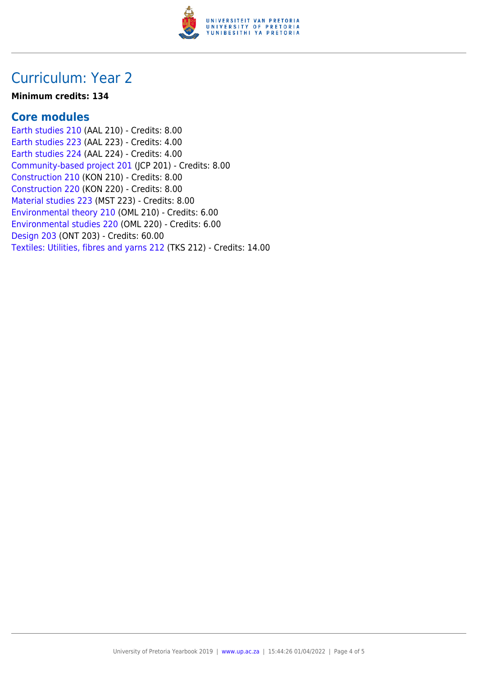

## Curriculum: Year 2

#### **Minimum credits: 134**

#### **Core modules**

[Earth studies 210](https://www.up.ac.za/yearbooks/2019/modules/view/AAL 210) (AAL 210) - Credits: 8.00 [Earth studies 223](https://www.up.ac.za/yearbooks/2019/modules/view/AAL 223) (AAL 223) - Credits: 4.00 [Earth studies 224](https://www.up.ac.za/yearbooks/2019/modules/view/AAL 224) (AAL 224) - Credits: 4.00 [Community-based project 201](https://www.up.ac.za/yearbooks/2019/modules/view/JCP 201) (JCP 201) - Credits: 8.00 [Construction 210](https://www.up.ac.za/yearbooks/2019/modules/view/KON 210) (KON 210) - Credits: 8.00 [Construction 220](https://www.up.ac.za/yearbooks/2019/modules/view/KON 220) (KON 220) - Credits: 8.00 [Material studies 223](https://www.up.ac.za/yearbooks/2019/modules/view/MST 223) (MST 223) - Credits: 8.00 [Environmental theory 210](https://www.up.ac.za/yearbooks/2019/modules/view/OML 210) (OML 210) - Credits: 6.00 [Environmental studies 220](https://www.up.ac.za/yearbooks/2019/modules/view/OML 220) (OML 220) - Credits: 6.00 [Design 203](https://www.up.ac.za/yearbooks/2019/modules/view/ONT 203) (ONT 203) - Credits: 60.00 [Textiles: Utilities, fibres and yarns 212](https://www.up.ac.za/yearbooks/2019/modules/view/TKS 212) (TKS 212) - Credits: 14.00